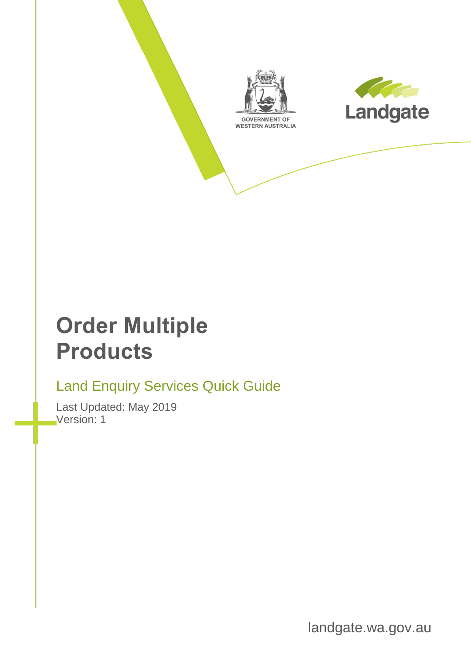



# **Order Multiple Products**

### Land Enquiry Services Quick Guide

Last Updated: May 2019 Version: 1

landgate.wa.gov.au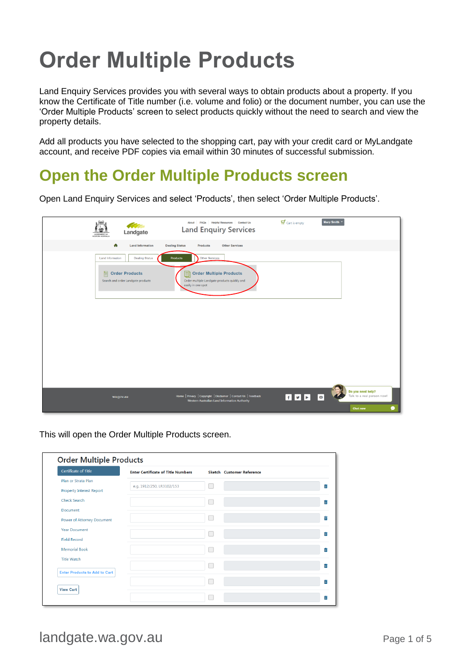# **Order Multiple Products**

Land Enquiry Services provides you with several ways to obtain products about a property. If you know the Certificate of Title number (i.e. volume and folio) or the document number, you can use the 'Order Multiple Products' screen to select products quickly without the need to search and view the property details.

Add all products you have selected to the shopping cart, pay with your credit card or MyLandgate account, and receive PDF copies via email within 30 minutes of successful submission.

#### **Open the Order Multiple Products screen**

Open Land Enquiry Services and select 'Products', then select 'Order Multiple Products'.



This will open the Order Multiple Products screen.

| Certificate of Title                 | <b>Enter Certificate of Title Numbers</b> | Sketch Customer Reference |  |
|--------------------------------------|-------------------------------------------|---------------------------|--|
| Plan or Strata Plan                  |                                           |                           |  |
| <b>Property Interest Report</b>      | e.g. 1912/250, LR3102/153                 |                           |  |
| <b>Check Search</b>                  |                                           |                           |  |
| Document                             |                                           |                           |  |
| Power of Attorney Document           |                                           |                           |  |
| <b>Year Document</b>                 |                                           |                           |  |
| <b>Field Record</b>                  |                                           |                           |  |
| <b>Memorial Book</b>                 |                                           |                           |  |
| <b>Title Watch</b>                   |                                           |                           |  |
| <b>Enter Products to Add to Cart</b> |                                           |                           |  |
|                                      |                                           |                           |  |
| <b>View Cart</b>                     |                                           |                           |  |

landgate.wa.gov.au Page 1 of 5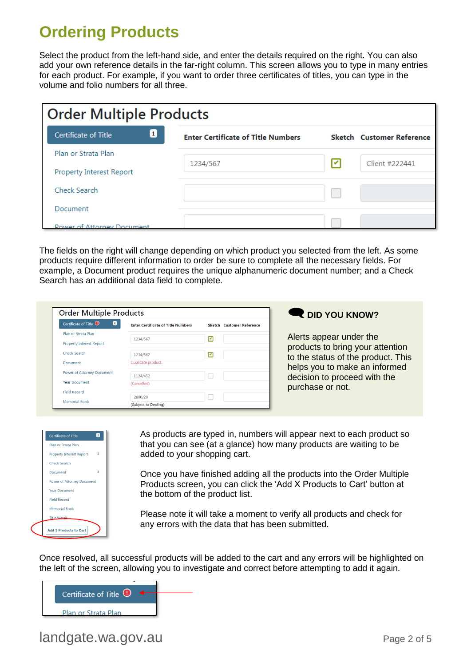## **Ordering Products**

Select the product from the left-hand side, and enter the details required on the right. You can also add your own reference details in the far-right column. This screen allows you to type in many entries for each product. For example, if you want to order three certificates of titles, you can type in the volume and folio numbers for all three.

| <b>Order Multiple Products</b>    |                                           |   |                                  |  |  |  |
|-----------------------------------|-------------------------------------------|---|----------------------------------|--|--|--|
| 1<br><b>Certificate of Title</b>  | <b>Enter Certificate of Title Numbers</b> |   | <b>Sketch</b> Customer Reference |  |  |  |
| Plan or Strata Plan               |                                           |   |                                  |  |  |  |
| Property Interest Report          | 1234/567                                  | ⇂ | Client #222441                   |  |  |  |
| Check Search                      |                                           |   |                                  |  |  |  |
| Document                          |                                           |   |                                  |  |  |  |
| <b>POWER Of Attorney Document</b> |                                           |   |                                  |  |  |  |

The fields on the right will change depending on which product you selected from the left. As some products require different information to order be sure to complete all the necessary fields. For example, a Document product requires the unique alphanumeric document number; and a Check Search has an additional data field to complete.

| $\blacksquare$<br>Certificate of Title <sup>1</sup> | <b>Enter Certificate of Title Numbers</b> | Sketch Customer Reference |  |
|-----------------------------------------------------|-------------------------------------------|---------------------------|--|
| Plan or Strata Plan                                 | 1234/567                                  | ☑                         |  |
| Property Interest Report                            |                                           |                           |  |
| Check Search                                        | 1234/567                                  | ☑                         |  |
| <b>Document</b>                                     | Duplicate product.                        |                           |  |
| Power of Attorney Document                          | 1124/452                                  |                           |  |
| <b>Year Document</b>                                | (Cancelled)                               |                           |  |
| <b>Field Record</b>                                 |                                           |                           |  |

#### **Q** DID YOU KNOW?

Alerts appear under the products to bring your attention to the status of the product. This helps you to make an informed decision to proceed with the purchase or not.



As products are typed in, numbers will appear next to each product so that you can see (at a glance) how many products are waiting to be added to your shopping cart.

Once you have finished adding all the products into the Order Multiple Products screen, you can click the 'Add X Products to Cart' button at the bottom of the product list.

Please note it will take a moment to verify all products and check for any errors with the data that has been submitted.

Once resolved, all successful products will be added to the cart and any errors will be highlighted on the left of the screen, allowing you to investigate and correct before attempting to add it again.



#### landgate.wa.gov.au Page 2 of 5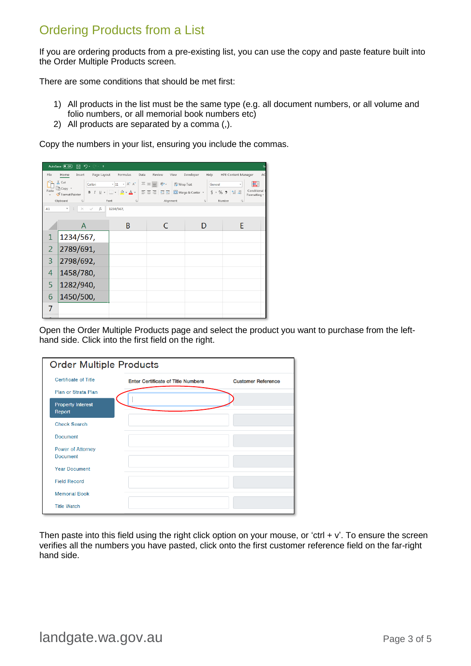#### Ordering Products from a List

If you are ordering products from a pre-existing list, you can use the copy and paste feature built into the Order Multiple Products screen.

There are some conditions that should be met first:

- 1) All products in the list must be the same type (e.g. all document numbers, or all volume and folio numbers, or all memorial book numbers etc)
- 2) All products are separated by a comma (,).

Copy the numbers in your list, ensuring you include the commas.

|                | AutoSave (Of)<br>圓 り・♡・・                                                                                                                                          |                                                                                                                   |                |                         |                                  |  |
|----------------|-------------------------------------------------------------------------------------------------------------------------------------------------------------------|-------------------------------------------------------------------------------------------------------------------|----------------|-------------------------|----------------------------------|--|
| File           | Page Layout<br>Insert<br>Home                                                                                                                                     | Formulas<br>Data                                                                                                  | Review<br>View | Developer<br>Help       | <b>HPE Content Manager</b><br>AC |  |
|                | X Cut<br>Calibri<br>_∏ት Copy ▼                                                                                                                                    | $\overline{\cdot}$ 11 $\overline{\cdot}$ A^ A^ $\overline{\cdot}$ $\overline{\equiv}$ $\equiv$ $\overline{\cdot}$ |                | ab Wrap Text<br>General | E                                |  |
|                | Paste<br>Conditional<br>B / U - │⊞ - │ ᠿ - ▲ - │ 글 글 글   로 프│<br>Merge & Center *<br>$$ - \%$ 9 $\frac{60}{00}$ $\frac{40}{20}$<br>Format Painter<br>Formatting * |                                                                                                                   |                |                         |                                  |  |
|                | Clipboard<br>$\overline{u}$<br>Alignment<br>Font<br>Number<br>$\sqrt{2}$<br>$\sqrt{2}$<br>$\sqrt{2}$                                                              |                                                                                                                   |                |                         |                                  |  |
| A1             | $f_x$<br>v.<br>$\times$                                                                                                                                           | 1234/567,                                                                                                         |                |                         |                                  |  |
|                | A                                                                                                                                                                 | B                                                                                                                 |                |                         | F                                |  |
| 1              | 1234/567,                                                                                                                                                         |                                                                                                                   |                |                         |                                  |  |
| $\overline{2}$ | 2789/691,                                                                                                                                                         |                                                                                                                   |                |                         |                                  |  |
| 3              | 2798/692,                                                                                                                                                         |                                                                                                                   |                |                         |                                  |  |
| 4              | 1458/780,                                                                                                                                                         |                                                                                                                   |                |                         |                                  |  |
| 5              | 1282/940,                                                                                                                                                         |                                                                                                                   |                |                         |                                  |  |
| 6              | 1450/500,                                                                                                                                                         |                                                                                                                   |                |                         |                                  |  |
| 7              |                                                                                                                                                                   |                                                                                                                   |                |                         |                                  |  |
|                |                                                                                                                                                                   |                                                                                                                   |                |                         |                                  |  |

Open the Order Multiple Products page and select the product you want to purchase from the lefthand side. Click into the first field on the right.

|                                    | <b>Order Multiple Products</b>            |                           |  |  |  |
|------------------------------------|-------------------------------------------|---------------------------|--|--|--|
| Certificate of Title               | <b>Enter Certificate of Title Numbers</b> | <b>Customer Reference</b> |  |  |  |
| Plan or Strata Plan                |                                           |                           |  |  |  |
| <b>Property Interest</b><br>Report |                                           |                           |  |  |  |
| <b>Check Search</b>                |                                           |                           |  |  |  |
| <b>Document</b>                    |                                           |                           |  |  |  |
| Power of Attorney                  |                                           |                           |  |  |  |
| <b>Document</b>                    |                                           |                           |  |  |  |
| <b>Year Document</b>               |                                           |                           |  |  |  |
| <b>Field Record</b>                |                                           |                           |  |  |  |
| <b>Memorial Book</b>               |                                           |                           |  |  |  |
| <b>Title Watch</b>                 |                                           |                           |  |  |  |

Then paste into this field using the right click option on your mouse, or 'ctrl  $+ v'$ . To ensure the screen verifies all the numbers you have pasted, click onto the first customer reference field on the far-right hand side.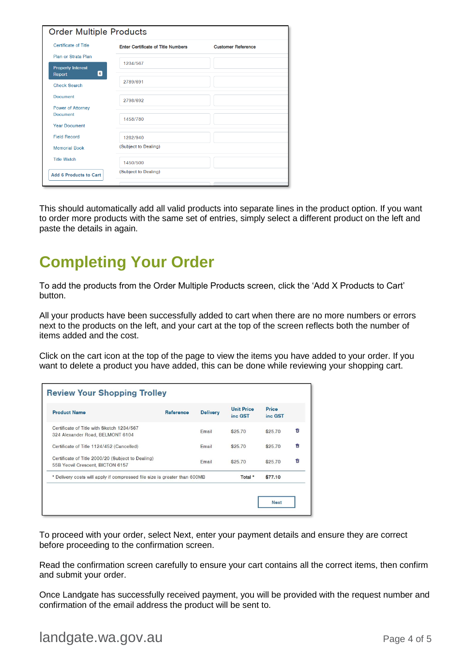| <b>Certificate of Title</b>                              | <b>Enter Certificate of Title Numbers</b> | <b>Customer Reference</b> |
|----------------------------------------------------------|-------------------------------------------|---------------------------|
| Plan or Strata Plan                                      |                                           |                           |
| <b>Property Interest</b>                                 | 1234/567                                  |                           |
| $\left[ \begin{matrix} 6 \end{matrix} \right]$<br>Report | 2789/691                                  |                           |
| <b>Check Search</b>                                      |                                           |                           |
| <b>Document</b>                                          | 2798/692                                  |                           |
| <b>Power of Attorney</b>                                 |                                           |                           |
| <b>Document</b>                                          | 1458/780                                  |                           |
| <b>Year Document</b>                                     |                                           |                           |
| <b>Field Record</b>                                      | 1282/940                                  |                           |
| <b>Memorial Book</b>                                     | (Subject to Dealing)                      |                           |
| <b>Title Watch</b>                                       | 1450/500                                  |                           |
| <b>Add 6 Products to Cart</b>                            | (Subject to Dealing)                      |                           |

This should automatically add all valid products into separate lines in the product option. If you want to order more products with the same set of entries, simply select a different product on the left and paste the details in again.

### **Completing Your Order**

To add the products from the Order Multiple Products screen, click the 'Add X Products to Cart' button.

All your products have been successfully added to cart when there are no more numbers or errors next to the products on the left, and your cart at the top of the screen reflects both the number of items added and the cost.

Click on the cart icon at the top of the page to view the items you have added to your order. If you want to delete a product you have added, this can be done while reviewing your shopping cart.

| <b>Review Your Shopping Trolley</b>                                                   |                  |                 |                              |                  |   |
|---------------------------------------------------------------------------------------|------------------|-----------------|------------------------------|------------------|---|
| <b>Product Name</b>                                                                   | <b>Reference</b> | <b>Delivery</b> | <b>Unit Price</b><br>inc GST | Price<br>inc GST |   |
| Certificate of Title with Sketch 1234/567<br>324 Alexander Road, BELMONT 6104         |                  | Email           | \$25.70                      | \$25.70          | ŵ |
| Certificate of Title 1124/452 (Cancelled)                                             |                  | Email           | \$25.70                      | \$25.70          | 尙 |
| Certificate of Title 2000/20 (Subject to Dealing)<br>55B Yeovil Crescent, BICTON 6157 |                  | Email           | \$25.70                      | \$25.70          | û |
| * Delivery costs will apply if compressed file size is greater than 600MB             |                  |                 | Total *                      | \$77.10          |   |

To proceed with your order, select Next, enter your payment details and ensure they are correct before proceeding to the confirmation screen.

Read the confirmation screen carefully to ensure your cart contains all the correct items, then confirm and submit your order.

Once Landgate has successfully received payment, you will be provided with the request number and confirmation of the email address the product will be sent to.